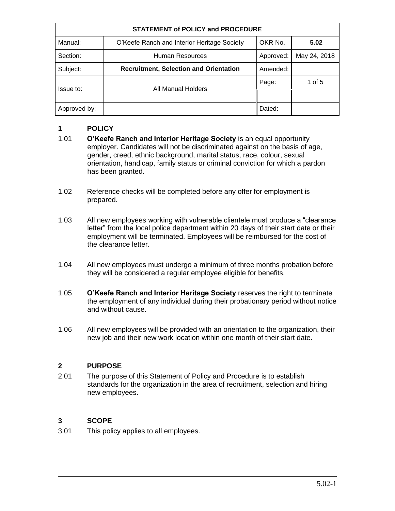| <b>STATEMENT of POLICY and PROCEDURE</b> |                                               |           |              |
|------------------------------------------|-----------------------------------------------|-----------|--------------|
| Manual:                                  | O'Keefe Ranch and Interior Heritage Society   | OKR No.   | 5.02         |
| Section:                                 | Human Resources                               | Approved: | May 24, 2018 |
| Subject:                                 | <b>Recruitment, Selection and Orientation</b> | Amended:  |              |
| Issue to:                                | <b>All Manual Holders</b>                     | Page:     | 1 of 5       |
|                                          |                                               |           |              |
| Approved by:                             |                                               | Dated:    |              |

# **1 POLICY**

- 1.01 **O'Keefe Ranch and Interior Heritage Society** is an equal opportunity employer. Candidates will not be discriminated against on the basis of age, gender, creed, ethnic background, marital status, race, colour, sexual orientation, handicap, family status or criminal conviction for which a pardon has been granted.
- 1.02 Reference checks will be completed before any offer for employment is prepared.
- 1.03 All new employees working with vulnerable clientele must produce a "clearance letter" from the local police department within 20 days of their start date or their employment will be terminated. Employees will be reimbursed for the cost of the clearance letter.
- 1.04 All new employees must undergo a minimum of three months probation before they will be considered a regular employee eligible for benefits.
- 1.05 **O'Keefe Ranch and Interior Heritage Society** reserves the right to terminate the employment of any individual during their probationary period without notice and without cause.
- 1.06 All new employees will be provided with an orientation to the organization, their new job and their new work location within one month of their start date.

# **2 PURPOSE**

2.01 The purpose of this Statement of Policy and Procedure is to establish standards for the organization in the area of recruitment, selection and hiring new employees.

### **3 SCOPE**

3.01 This policy applies to all employees.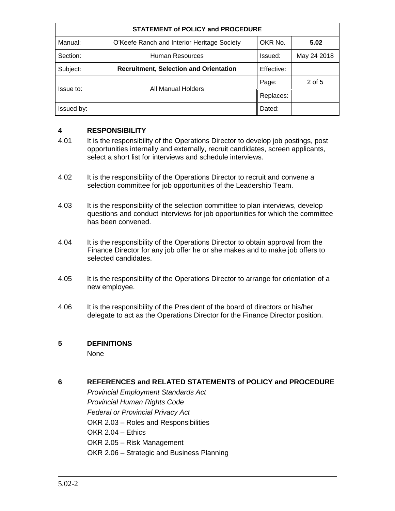| <b>STATEMENT of POLICY and PROCEDURE</b> |                                               |            |             |
|------------------------------------------|-----------------------------------------------|------------|-------------|
| Manual:                                  | O'Keefe Ranch and Interior Heritage Society   | OKR No.    | 5.02        |
| Section:                                 | Human Resources                               | Issued:    | May 24 2018 |
| Subject:                                 | <b>Recruitment, Selection and Orientation</b> | Effective: |             |
| Issue to:                                | All Manual Holders                            | Page:      | 2 of 5      |
|                                          |                                               | Replaces:  |             |
| Issued by:                               |                                               | Dated:     |             |

### **4 RESPONSIBILITY**

- 4.01 It is the responsibility of the Operations Director to develop job postings, post opportunities internally and externally, recruit candidates, screen applicants, select a short list for interviews and schedule interviews.
- 4.02 It is the responsibility of the Operations Director to recruit and convene a selection committee for job opportunities of the Leadership Team.
- 4.03 It is the responsibility of the selection committee to plan interviews, develop questions and conduct interviews for job opportunities for which the committee has been convened.
- 4.04 It is the responsibility of the Operations Director to obtain approval from the Finance Director for any job offer he or she makes and to make job offers to selected candidates.
- 4.05 It is the responsibility of the Operations Director to arrange for orientation of a new employee.
- 4.06 It is the responsibility of the President of the board of directors or his/her delegate to act as the Operations Director for the Finance Director position.

### **5 DEFINITIONS**

None

# **6 REFERENCES and RELATED STATEMENTS of POLICY and PROCEDURE**

*Provincial Employment Standards Act Provincial Human Rights Code Federal or Provincial Privacy Act* OKR 2.03 – Roles and Responsibilities OKR 2.04 – Ethics OKR 2.05 – Risk Management OKR 2.06 – Strategic and Business Planning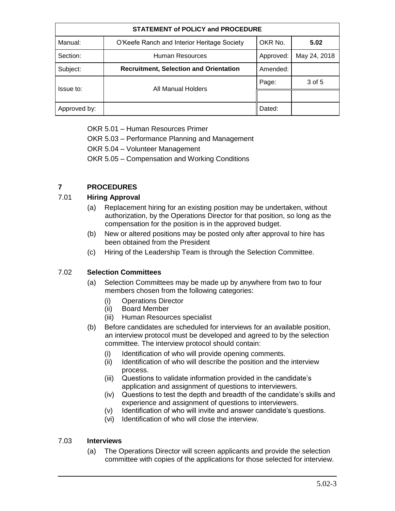| <b>STATEMENT of POLICY and PROCEDURE</b> |                                               |           |              |
|------------------------------------------|-----------------------------------------------|-----------|--------------|
| Manual:                                  | O'Keefe Ranch and Interior Heritage Society   | OKR No.   | 5.02         |
| Section:                                 | Human Resources                               | Approved: | May 24, 2018 |
| Subject:                                 | <b>Recruitment, Selection and Orientation</b> | Amended:  |              |
| Issue to:                                | <b>All Manual Holders</b>                     | Page:     | 3 of 5       |
|                                          |                                               |           |              |
| Approved by:                             |                                               | Dated:    |              |

OKR 5.01 – Human Resources Primer

OKR 5.03 – Performance Planning and Management

OKR 5.04 – Volunteer Management

OKR 5.05 – Compensation and Working Conditions

# **7 PROCEDURES**

# 7.01 **Hiring Approval**

- (a) Replacement hiring for an existing position may be undertaken, without authorization, by the Operations Director for that position, so long as the compensation for the position is in the approved budget.
- (b) New or altered positions may be posted only after approval to hire has been obtained from the President
- (c) Hiring of the Leadership Team is through the Selection Committee.

# 7.02 **Selection Committees**

- (a) Selection Committees may be made up by anywhere from two to four members chosen from the following categories:
	- (i) Operations Director
	- (ii) Board Member
	- (iii) Human Resources specialist
- (b) Before candidates are scheduled for interviews for an available position, an interview protocol must be developed and agreed to by the selection committee. The interview protocol should contain:
	- (i) Identification of who will provide opening comments.
	- (ii) Identification of who will describe the position and the interview process.
	- (iii) Questions to validate information provided in the candidate's application and assignment of questions to interviewers.
	- (iv) Questions to test the depth and breadth of the candidate's skills and experience and assignment of questions to interviewers.
	- (v) Identification of who will invite and answer candidate's questions.
	- (vi) Identification of who will close the interview.

# 7.03 **Interviews**

(a) The Operations Director will screen applicants and provide the selection committee with copies of the applications for those selected for interview.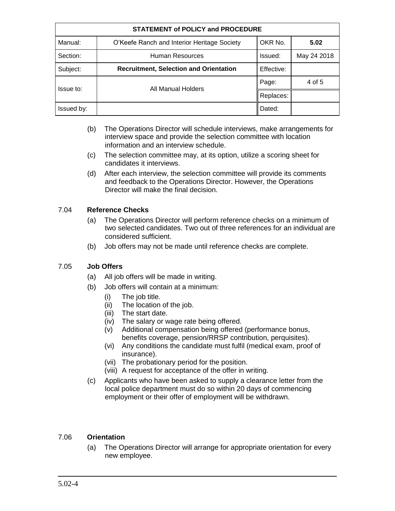| <b>STATEMENT of POLICY and PROCEDURE</b> |                                               |            |             |
|------------------------------------------|-----------------------------------------------|------------|-------------|
| Manual:                                  | O'Keefe Ranch and Interior Heritage Society   | OKR No.    | 5.02        |
| Section:                                 | Human Resources                               | Issued:    | May 24 2018 |
| Subject:                                 | <b>Recruitment, Selection and Orientation</b> | Effective: |             |
| Issue to:                                | All Manual Holders                            | Page:      | 4 of 5      |
|                                          |                                               | Replaces:  |             |
| Issued by:                               |                                               | Dated:     |             |

- (b) The Operations Director will schedule interviews, make arrangements for interview space and provide the selection committee with location information and an interview schedule.
- (c) The selection committee may, at its option, utilize a scoring sheet for candidates it interviews.
- (d) After each interview, the selection committee will provide its comments and feedback to the Operations Director. However, the Operations Director will make the final decision.

# 7.04 **Reference Checks**

- (a) The Operations Director will perform reference checks on a minimum of two selected candidates. Two out of three references for an individual are considered sufficient.
- (b) Job offers may not be made until reference checks are complete.

### 7.05 **Job Offers**

- (a) All job offers will be made in writing.
- (b) Job offers will contain at a minimum:
	- (i) The job title.
	- (ii) The location of the job.
	- (iii) The start date.
	- (iv) The salary or wage rate being offered.
	- (v) Additional compensation being offered (performance bonus, benefits coverage, pension/RRSP contribution, perquisites).
	- (vi) Any conditions the candidate must fulfil (medical exam, proof of insurance).
	- (vii) The probationary period for the position.
	- (viii) A request for acceptance of the offer in writing.
- (c) Applicants who have been asked to supply a clearance letter from the local police department must do so within 20 days of commencing employment or their offer of employment will be withdrawn.

### 7.06 **Orientation**

(a) The Operations Director will arrange for appropriate orientation for every new employee.